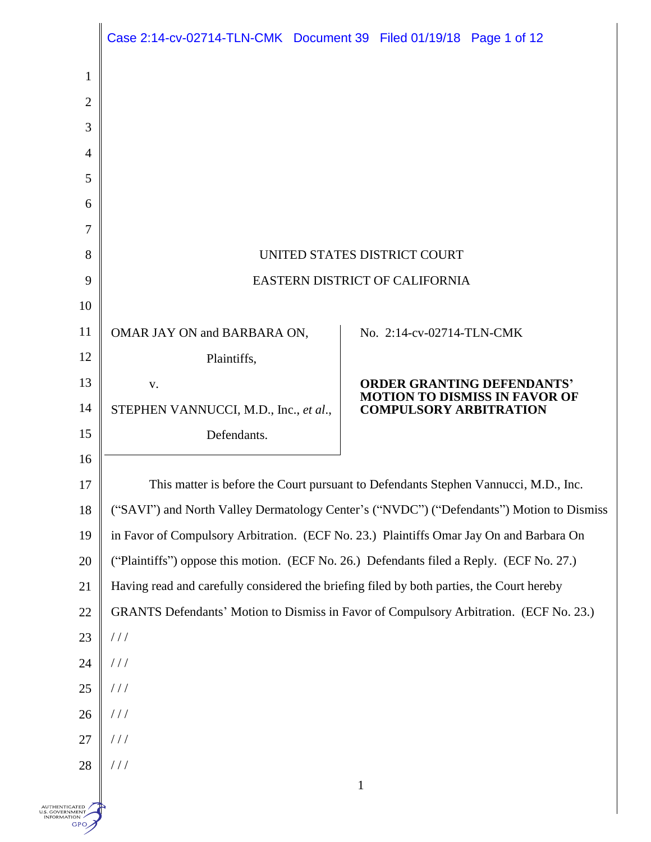|                                                           | Case 2:14-cv-02714-TLN-CMK Document 39 Filed 01/19/18 Page 1 of 12                        |                                                                                          |  |
|-----------------------------------------------------------|-------------------------------------------------------------------------------------------|------------------------------------------------------------------------------------------|--|
| $\mathbf{1}$                                              |                                                                                           |                                                                                          |  |
| $\overline{2}$                                            |                                                                                           |                                                                                          |  |
| 3                                                         |                                                                                           |                                                                                          |  |
| $\overline{4}$                                            |                                                                                           |                                                                                          |  |
| 5                                                         |                                                                                           |                                                                                          |  |
| 6                                                         |                                                                                           |                                                                                          |  |
| 7                                                         |                                                                                           |                                                                                          |  |
| 8                                                         |                                                                                           | UNITED STATES DISTRICT COURT                                                             |  |
| 9                                                         | EASTERN DISTRICT OF CALIFORNIA                                                            |                                                                                          |  |
| 10                                                        |                                                                                           |                                                                                          |  |
| 11                                                        | OMAR JAY ON and BARBARA ON,                                                               | No. 2:14-cv-02714-TLN-CMK                                                                |  |
| 12                                                        | Plaintiffs,                                                                               |                                                                                          |  |
| 13                                                        | V.                                                                                        | ORDER GRANTING DEFENDANTS'<br><b>MOTION TO DISMISS IN FAVOR OF</b>                       |  |
| 14                                                        | STEPHEN VANNUCCI, M.D., Inc., et al.,                                                     | <b>COMPULSORY ARBITRATION</b>                                                            |  |
| 15                                                        | Defendants.                                                                               |                                                                                          |  |
| 16                                                        |                                                                                           |                                                                                          |  |
| 17                                                        | This matter is before the Court pursuant to Defendants Stephen Vannucci, M.D., Inc.       |                                                                                          |  |
| 18                                                        |                                                                                           | ("SAVI") and North Valley Dermatology Center's ("NVDC") ("Defendants") Motion to Dismiss |  |
| 19                                                        | in Favor of Compulsory Arbitration. (ECF No. 23.) Plaintiffs Omar Jay On and Barbara On   |                                                                                          |  |
| 20                                                        | ("Plaintiffs") oppose this motion. (ECF No. 26.) Defendants filed a Reply. (ECF No. 27.)  |                                                                                          |  |
| 21                                                        | Having read and carefully considered the briefing filed by both parties, the Court hereby |                                                                                          |  |
| $22\,$                                                    | GRANTS Defendants' Motion to Dismiss in Favor of Compulsory Arbitration. (ECF No. 23.)    |                                                                                          |  |
| 23                                                        | //                                                                                        |                                                                                          |  |
| 24                                                        | //                                                                                        |                                                                                          |  |
| 25                                                        | $\frac{1}{2}$                                                                             |                                                                                          |  |
| 26                                                        | //                                                                                        |                                                                                          |  |
| 27                                                        | //                                                                                        |                                                                                          |  |
| 28                                                        | //                                                                                        | $\mathbf{1}$                                                                             |  |
| <b>NUTHENTICATED</b><br>S. GOVERNMENT<br>FORMATION<br>GPO |                                                                                           |                                                                                          |  |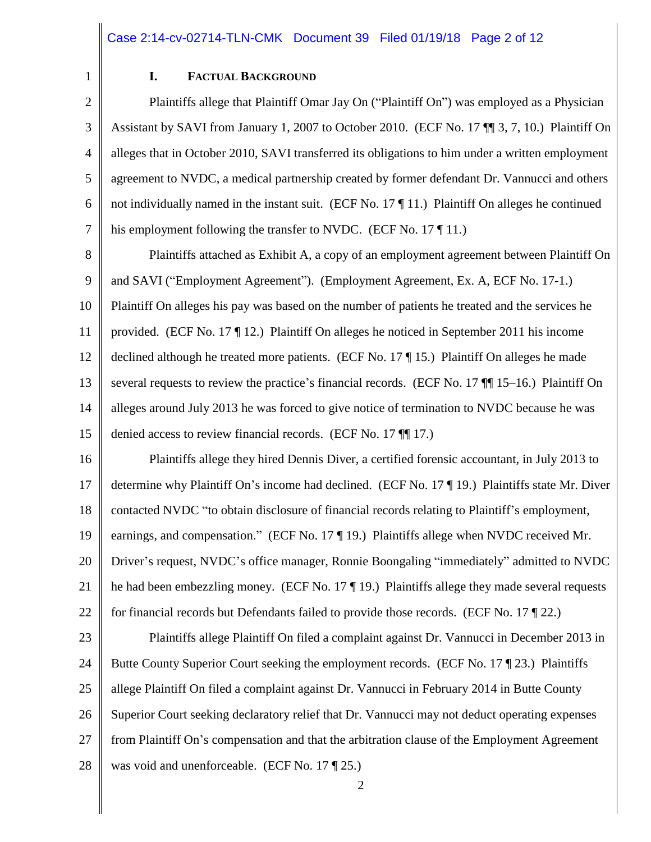1

#### **I. FACTUAL BACKGROUND**

2 3 4 5 6 7 Plaintiffs allege that Plaintiff Omar Jay On ("Plaintiff On") was employed as a Physician Assistant by SAVI from January 1, 2007 to October 2010. (ECF No. 17 ¶¶ 3, 7, 10.) Plaintiff On alleges that in October 2010, SAVI transferred its obligations to him under a written employment agreement to NVDC, a medical partnership created by former defendant Dr. Vannucci and others not individually named in the instant suit. (ECF No. 17 ¶ 11.) Plaintiff On alleges he continued his employment following the transfer to NVDC. (ECF No. 17 ¶ 11.)

8 9 10 11 12 13 14 15 Plaintiffs attached as Exhibit A, a copy of an employment agreement between Plaintiff On and SAVI ("Employment Agreement"). (Employment Agreement, Ex. A, ECF No. 17-1.) Plaintiff On alleges his pay was based on the number of patients he treated and the services he provided. (ECF No. 17 ¶ 12.) Plaintiff On alleges he noticed in September 2011 his income declined although he treated more patients. (ECF No. 17 ¶ 15.) Plaintiff On alleges he made several requests to review the practice's financial records. (ECF No. 17 ¶¶ 15–16.) Plaintiff On alleges around July 2013 he was forced to give notice of termination to NVDC because he was denied access to review financial records. (ECF No. 17 ¶¶ 17.)

16 17 18 19 20 21 22 Plaintiffs allege they hired Dennis Diver, a certified forensic accountant, in July 2013 to determine why Plaintiff On's income had declined. (ECF No. 17 ¶ 19.) Plaintiffs state Mr. Diver contacted NVDC "to obtain disclosure of financial records relating to Plaintiff's employment, earnings, and compensation." (ECF No. 17 ¶ 19.) Plaintiffs allege when NVDC received Mr. Driver's request, NVDC's office manager, Ronnie Boongaling "immediately" admitted to NVDC he had been embezzling money. (ECF No. 17 ¶ 19.) Plaintiffs allege they made several requests for financial records but Defendants failed to provide those records. (ECF No. 17 ¶ 22.)

23 24 25 26 27 28 Plaintiffs allege Plaintiff On filed a complaint against Dr. Vannucci in December 2013 in Butte County Superior Court seeking the employment records. (ECF No. 17 ¶ 23.) Plaintiffs allege Plaintiff On filed a complaint against Dr. Vannucci in February 2014 in Butte County Superior Court seeking declaratory relief that Dr. Vannucci may not deduct operating expenses from Plaintiff On's compensation and that the arbitration clause of the Employment Agreement was void and unenforceable. (ECF No. 17 ¶ 25.)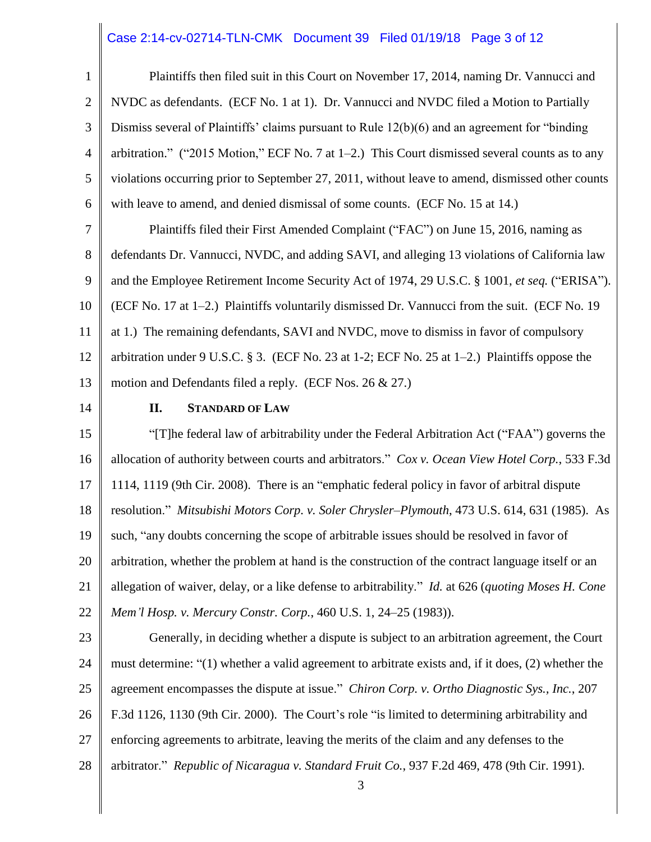#### Case 2:14-cv-02714-TLN-CMK Document 39 Filed 01/19/18 Page 3 of 12

1 2 3 4 5 6 7 8 9 10 11 12 13 14 15 16 17 18 19 20 21 22 23 24 25 26 27 28 Plaintiffs then filed suit in this Court on November 17, 2014, naming Dr. Vannucci and NVDC as defendants. (ECF No. 1 at 1). Dr. Vannucci and NVDC filed a Motion to Partially Dismiss several of Plaintiffs' claims pursuant to Rule 12(b)(6) and an agreement for "binding arbitration." ("2015 Motion," ECF No. 7 at  $1-2$ .) This Court dismissed several counts as to any violations occurring prior to September 27, 2011, without leave to amend, dismissed other counts with leave to amend, and denied dismissal of some counts. (ECF No. 15 at 14.) Plaintiffs filed their First Amended Complaint ("FAC") on June 15, 2016, naming as defendants Dr. Vannucci, NVDC, and adding SAVI, and alleging 13 violations of California law and the Employee Retirement Income Security Act of 1974, 29 U.S.C. § 1001, *et seq.* ("ERISA"). (ECF No. 17 at 1–2.) Plaintiffs voluntarily dismissed Dr. Vannucci from the suit. (ECF No. 19 at 1.) The remaining defendants, SAVI and NVDC, move to dismiss in favor of compulsory arbitration under 9 U.S.C.  $\S 3$ . (ECF No. 23 at 1-2; ECF No. 25 at 1-2.) Plaintiffs oppose the motion and Defendants filed a reply. (ECF Nos. 26 & 27.) **II. STANDARD OF LAW** "[T]he federal law of arbitrability under the Federal Arbitration Act ("FAA") governs the allocation of authority between courts and arbitrators." *Cox v. Ocean View Hotel Corp.*, 533 F.3d 1114, 1119 (9th Cir. 2008). There is an "emphatic federal policy in favor of arbitral dispute resolution." *Mitsubishi Motors Corp. v. Soler Chrysler–Plymouth*, 473 U.S. 614, 631 (1985). As such, "any doubts concerning the scope of arbitrable issues should be resolved in favor of arbitration, whether the problem at hand is the construction of the contract language itself or an allegation of waiver, delay, or a like defense to arbitrability." *Id.* at 626 (*quoting Moses H. Cone Mem'l Hosp. v. Mercury Constr. Corp.*, 460 U.S. 1, 24–25 (1983)). Generally, in deciding whether a dispute is subject to an arbitration agreement, the Court must determine: "(1) whether a valid agreement to arbitrate exists and, if it does, (2) whether the agreement encompasses the dispute at issue." *Chiron Corp. v. Ortho Diagnostic Sys., Inc.*, 207 F.3d 1126, 1130 (9th Cir. 2000). The Court's role "is limited to determining arbitrability and enforcing agreements to arbitrate, leaving the merits of the claim and any defenses to the arbitrator." *Republic of Nicaragua v. Standard Fruit Co.*, 937 F.2d 469, 478 (9th Cir. 1991).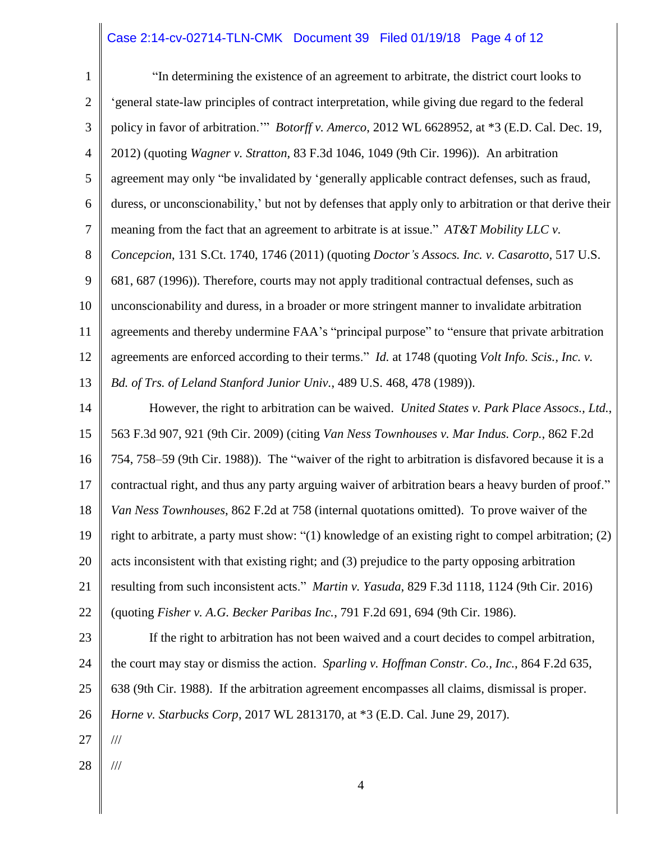## Case 2:14-cv-02714-TLN-CMK Document 39 Filed 01/19/18 Page 4 of 12

| $\mathbf{1}$   | "In determining the existence of an agreement to arbitrate, the district court looks to                         |
|----------------|-----------------------------------------------------------------------------------------------------------------|
| 2              | 'general state-law principles of contract interpretation, while giving due regard to the federal                |
| 3              | policy in favor of arbitration."" Botorff v. Amerco, 2012 WL 6628952, at *3 (E.D. Cal. Dec. 19,                 |
| $\overline{4}$ | 2012) (quoting Wagner v. Stratton, 83 F.3d 1046, 1049 (9th Cir. 1996)). An arbitration                          |
| 5              | agreement may only "be invalidated by 'generally applicable contract defenses, such as fraud,                   |
| 6              | duress, or unconscionability,' but not by defenses that apply only to arbitration or that derive their          |
| $\tau$         | meaning from the fact that an agreement to arbitrate is at issue." AT&T Mobility LLC v.                         |
| 8              | Concepcion, 131 S.Ct. 1740, 1746 (2011) (quoting Doctor's Assocs. Inc. v. Casarotto, 517 U.S.                   |
| 9              | 681, 687 (1996)). Therefore, courts may not apply traditional contractual defenses, such as                     |
| 10             | unconscionability and duress, in a broader or more stringent manner to invalidate arbitration                   |
| 11             | agreements and thereby undermine FAA's "principal purpose" to "ensure that private arbitration                  |
| 12             | agreements are enforced according to their terms." <i>Id.</i> at 1748 (quoting <i>Volt Info. Scis., Inc. v.</i> |
| 13             | Bd. of Trs. of Leland Stanford Junior Univ., 489 U.S. 468, 478 (1989)).                                         |
| 14             | However, the right to arbitration can be waived. United States v. Park Place Assocs., Ltd.,                     |
| 15             | 563 F.3d 907, 921 (9th Cir. 2009) (citing Van Ness Townhouses v. Mar Indus. Corp., 862 F.2d                     |
| 16             | 754, 758–59 (9th Cir. 1988)). The "waiver of the right to arbitration is disfavored because it is a             |
| 17             | contractual right, and thus any party arguing waiver of arbitration bears a heavy burden of proof."             |
| 18             | Van Ness Townhouses, 862 F.2d at 758 (internal quotations omitted). To prove waiver of the                      |
| 19             | right to arbitrate, a party must show: "(1) knowledge of an existing right to compel arbitration; (2)           |
| 20             | acts inconsistent with that existing right; and (3) prejudice to the party opposing arbitration                 |
| 21             | resulting from such inconsistent acts." <i>Martin v. Yasuda</i> , 829 F.3d 1118, 1124 (9th Cir. 2016)           |
| 22             | (quoting Fisher v. A.G. Becker Paribas Inc., 791 F.2d 691, 694 (9th Cir. 1986).                                 |
| 23             | If the right to arbitration has not been waived and a court decides to compel arbitration,                      |
| 24             | the court may stay or dismiss the action. Sparling v. Hoffman Constr. Co., Inc., 864 F.2d 635,                  |
| 25             | 638 (9th Cir. 1988). If the arbitration agreement encompasses all claims, dismissal is proper.                  |
| 26             | Horne v. Starbucks Corp, 2017 WL 2813170, at *3 (E.D. Cal. June 29, 2017).                                      |
| 27             | $/\!/ \!/$                                                                                                      |
| 28             | $/\!/ \!/$                                                                                                      |
|                | 4                                                                                                               |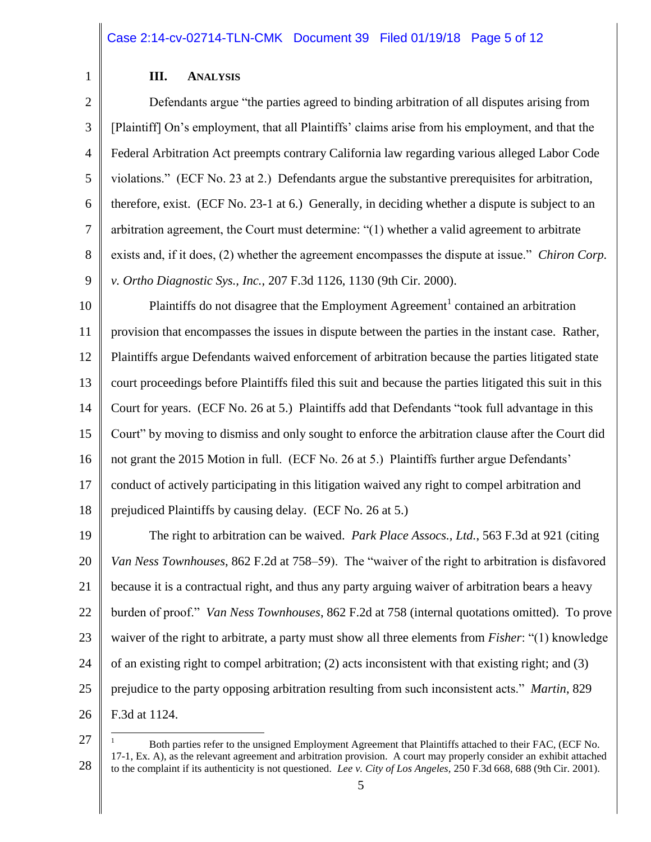#### **III. ANALYSIS**

1

2 3 4 5 6 7 8 9 Defendants argue "the parties agreed to binding arbitration of all disputes arising from [Plaintiff] On's employment, that all Plaintiffs' claims arise from his employment, and that the Federal Arbitration Act preempts contrary California law regarding various alleged Labor Code violations." (ECF No. 23 at 2.) Defendants argue the substantive prerequisites for arbitration, therefore, exist. (ECF No. 23-1 at 6.) Generally, in deciding whether a dispute is subject to an arbitration agreement, the Court must determine: "(1) whether a valid agreement to arbitrate exists and, if it does, (2) whether the agreement encompasses the dispute at issue." *Chiron Corp. v. Ortho Diagnostic Sys., Inc.*, 207 F.3d 1126, 1130 (9th Cir. 2000).

10 11 12 13 14 15 16 17 18 Plaintiffs do not disagree that the Employment Agreement<sup>1</sup> contained an arbitration provision that encompasses the issues in dispute between the parties in the instant case. Rather, Plaintiffs argue Defendants waived enforcement of arbitration because the parties litigated state court proceedings before Plaintiffs filed this suit and because the parties litigated this suit in this Court for years. (ECF No. 26 at 5.) Plaintiffs add that Defendants "took full advantage in this Court" by moving to dismiss and only sought to enforce the arbitration clause after the Court did not grant the 2015 Motion in full. (ECF No. 26 at 5.) Plaintiffs further argue Defendants' conduct of actively participating in this litigation waived any right to compel arbitration and prejudiced Plaintiffs by causing delay. (ECF No. 26 at 5.)

19 20 21 22 23 24 25 26 The right to arbitration can be waived. *Park Place Assocs., Ltd.*, 563 F.3d at 921 (citing *Van Ness Townhouses*, 862 F.2d at 758–59). The "waiver of the right to arbitration is disfavored because it is a contractual right, and thus any party arguing waiver of arbitration bears a heavy burden of proof." *Van Ness Townhouses*, 862 F.2d at 758 (internal quotations omitted). To prove waiver of the right to arbitrate, a party must show all three elements from *Fisher*: "(1) knowledge of an existing right to compel arbitration; (2) acts inconsistent with that existing right; and (3) prejudice to the party opposing arbitration resulting from such inconsistent acts." *Martin*, 829 F.3d at 1124.

<sup>27</sup> 28  $\overline{a}$ <sup>1</sup> Both parties refer to the unsigned Employment Agreement that Plaintiffs attached to their FAC, (ECF No. 17-1, Ex. A), as the relevant agreement and arbitration provision. A court may properly consider an exhibit attached to the complaint if its authenticity is not questioned. *Lee v. City of Los Angeles,* 250 F.3d 668, 688 (9th Cir. 2001).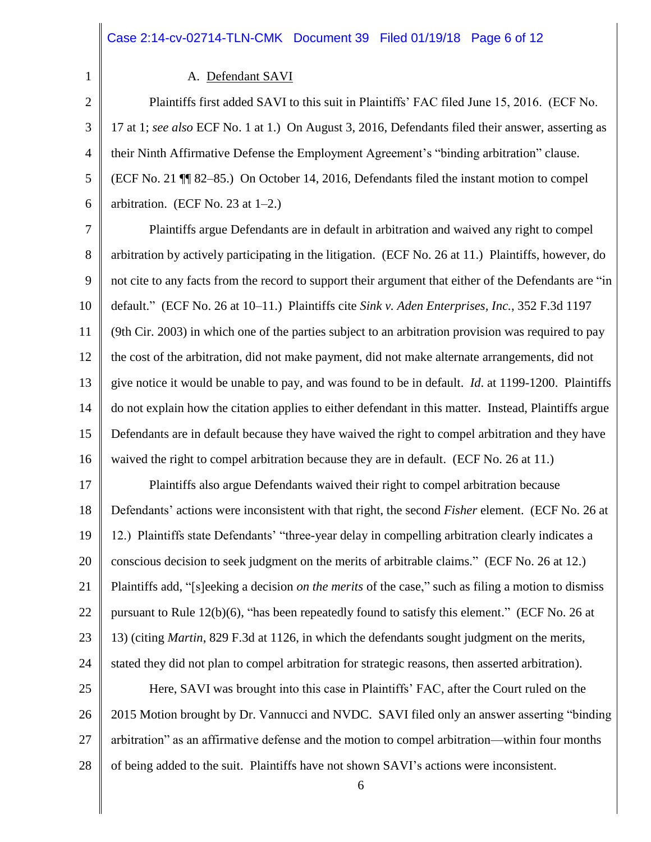#### A. Defendant SAVI

1

2 3 4 5 6 Plaintiffs first added SAVI to this suit in Plaintiffs' FAC filed June 15, 2016. (ECF No. 17 at 1; *see also* ECF No. 1 at 1.) On August 3, 2016, Defendants filed their answer, asserting as their Ninth Affirmative Defense the Employment Agreement's "binding arbitration" clause. (ECF No. 21 ¶¶ 82–85.) On October 14, 2016, Defendants filed the instant motion to compel arbitration. (ECF No. 23 at  $1-2$ .)

7 8 9 10 11 12 13 14 15 16 Plaintiffs argue Defendants are in default in arbitration and waived any right to compel arbitration by actively participating in the litigation. (ECF No. 26 at 11.) Plaintiffs, however, do not cite to any facts from the record to support their argument that either of the Defendants are "in default." (ECF No. 26 at 10–11.) Plaintiffs cite *Sink v. Aden Enterprises, Inc.*, 352 F.3d 1197 (9th Cir. 2003) in which one of the parties subject to an arbitration provision was required to pay the cost of the arbitration, did not make payment, did not make alternate arrangements, did not give notice it would be unable to pay, and was found to be in default. *Id*. at 1199-1200. Plaintiffs do not explain how the citation applies to either defendant in this matter. Instead, Plaintiffs argue Defendants are in default because they have waived the right to compel arbitration and they have waived the right to compel arbitration because they are in default. (ECF No. 26 at 11.)

17 18 19 20 21 22 23 24 Plaintiffs also argue Defendants waived their right to compel arbitration because Defendants' actions were inconsistent with that right, the second *Fisher* element. (ECF No. 26 at 12.) Plaintiffs state Defendants' "three-year delay in compelling arbitration clearly indicates a conscious decision to seek judgment on the merits of arbitrable claims." (ECF No. 26 at 12.) Plaintiffs add, "[s]eeking a decision *on the merits* of the case," such as filing a motion to dismiss pursuant to Rule 12(b)(6), "has been repeatedly found to satisfy this element." (ECF No. 26 at 13) (citing *Martin*, 829 F.3d at 1126, in which the defendants sought judgment on the merits, stated they did not plan to compel arbitration for strategic reasons, then asserted arbitration).

25 26 27 28 Here, SAVI was brought into this case in Plaintiffs' FAC, after the Court ruled on the 2015 Motion brought by Dr. Vannucci and NVDC. SAVI filed only an answer asserting "binding arbitration" as an affirmative defense and the motion to compel arbitration—within four months of being added to the suit. Plaintiffs have not shown SAVI's actions were inconsistent.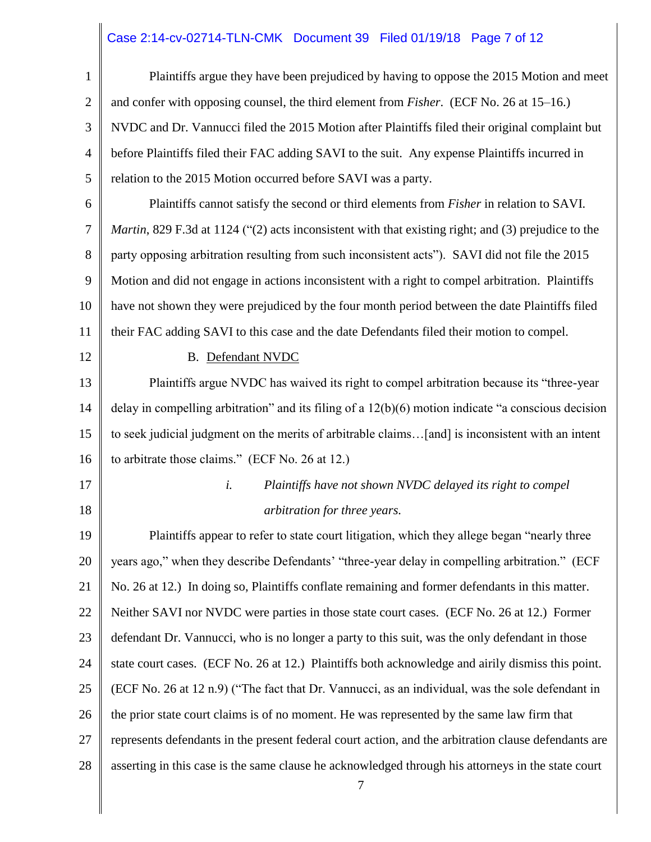# Case 2:14-cv-02714-TLN-CMK Document 39 Filed 01/19/18 Page 7 of 12

| $\mathbf{1}$   | Plaintiffs argue they have been prejudiced by having to oppose the 2015 Motion and meet                     |
|----------------|-------------------------------------------------------------------------------------------------------------|
| $\overline{2}$ | and confer with opposing counsel, the third element from <i>Fisher.</i> (ECF No. 26 at 15–16.)              |
| 3              | NVDC and Dr. Vannucci filed the 2015 Motion after Plaintiffs filed their original complaint but             |
| 4              | before Plaintiffs filed their FAC adding SAVI to the suit. Any expense Plaintiffs incurred in               |
| 5              | relation to the 2015 Motion occurred before SAVI was a party.                                               |
| 6              | Plaintiffs cannot satisfy the second or third elements from <i>Fisher</i> in relation to SAVI.              |
| 7              | <i>Martin</i> , 829 F.3d at 1124 ("(2) acts inconsistent with that existing right; and (3) prejudice to the |
| 8              | party opposing arbitration resulting from such inconsistent acts"). SAVI did not file the 2015              |
| 9              | Motion and did not engage in actions inconsistent with a right to compel arbitration. Plaintiffs            |
| 10             | have not shown they were prejudiced by the four month period between the date Plaintiffs filed              |
| 11             | their FAC adding SAVI to this case and the date Defendants filed their motion to compel.                    |
| 12             | <b>B.</b> Defendant NVDC                                                                                    |
| 13             | Plaintiffs argue NVDC has waived its right to compel arbitration because its "three-year                    |
| 14             | delay in compelling arbitration" and its filing of a $12(b)(6)$ motion indicate "a conscious decision       |
| 15             | to seek judicial judgment on the merits of arbitrable claims[and] is inconsistent with an intent            |
| 16             | to arbitrate those claims." (ECF No. 26 at 12.)                                                             |
| 17             | i.<br>Plaintiffs have not shown NVDC delayed its right to compel                                            |
| 18             | arbitration for three years.                                                                                |
| 19             | Plaintiffs appear to refer to state court litigation, which they allege began "nearly three                 |
| 20             | years ago," when they describe Defendants' "three-year delay in compelling arbitration." (ECF               |
| 21             | No. 26 at 12.) In doing so, Plaintiffs conflate remaining and former defendants in this matter.             |
| 22             | Neither SAVI nor NVDC were parties in those state court cases. (ECF No. 26 at 12.) Former                   |
| 23             | defendant Dr. Vannucci, who is no longer a party to this suit, was the only defendant in those              |
| 24             | state court cases. (ECF No. 26 at 12.) Plaintiffs both acknowledge and airily dismiss this point.           |
| 25             | (ECF No. 26 at 12 n.9) ("The fact that Dr. Vannucci, as an individual, was the sole defendant in            |
| 26             | the prior state court claims is of no moment. He was represented by the same law firm that                  |
| 27             | represents defendants in the present federal court action, and the arbitration clause defendants are        |
| 28             | asserting in this case is the same clause he acknowledged through his attorneys in the state court          |
|                |                                                                                                             |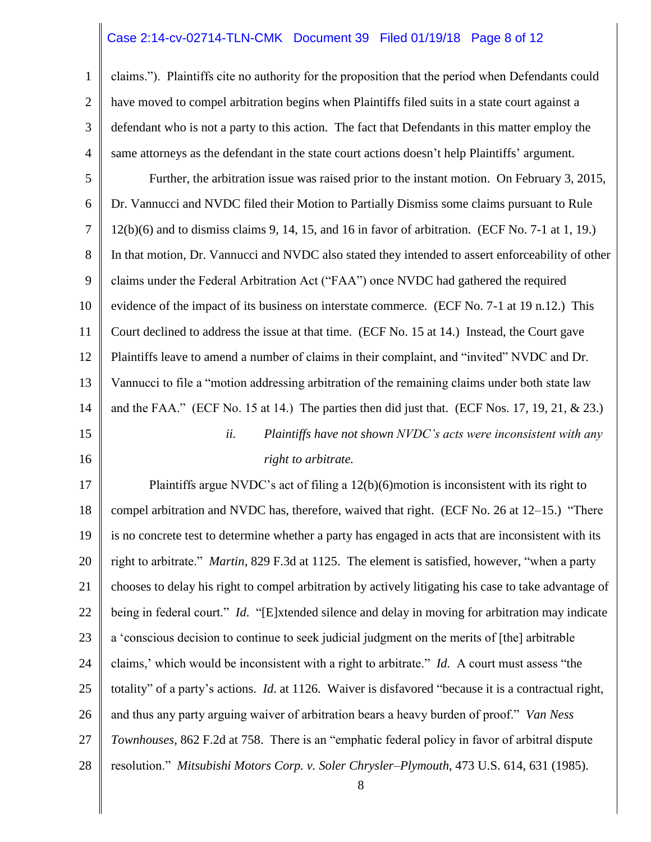#### Case 2:14-cv-02714-TLN-CMK Document 39 Filed 01/19/18 Page 8 of 12

1 2 3 4 5 6 7 8 9 10 11 12 13 14 15 16 17 18 19 20 21 22 23 24 25 26 27 claims."). Plaintiffs cite no authority for the proposition that the period when Defendants could have moved to compel arbitration begins when Plaintiffs filed suits in a state court against a defendant who is not a party to this action. The fact that Defendants in this matter employ the same attorneys as the defendant in the state court actions doesn't help Plaintiffs' argument. Further, the arbitration issue was raised prior to the instant motion. On February 3, 2015, Dr. Vannucci and NVDC filed their Motion to Partially Dismiss some claims pursuant to Rule 12(b)(6) and to dismiss claims 9, 14, 15, and 16 in favor of arbitration. (ECF No. 7-1 at 1, 19.) In that motion, Dr. Vannucci and NVDC also stated they intended to assert enforceability of other claims under the Federal Arbitration Act ("FAA") once NVDC had gathered the required evidence of the impact of its business on interstate commerce. (ECF No. 7-1 at 19 n.12.) This Court declined to address the issue at that time. (ECF No. 15 at 14.) Instead, the Court gave Plaintiffs leave to amend a number of claims in their complaint, and "invited" NVDC and Dr. Vannucci to file a "motion addressing arbitration of the remaining claims under both state law and the FAA." (ECF No. 15 at 14.) The parties then did just that. (ECF Nos. 17, 19, 21,  $\&$  23.) *ii. Plaintiffs have not shown NVDC's acts were inconsistent with any right to arbitrate.* Plaintiffs argue NVDC's act of filing a 12(b)(6)motion is inconsistent with its right to compel arbitration and NVDC has, therefore, waived that right. (ECF No. 26 at 12–15.) "There is no concrete test to determine whether a party has engaged in acts that are inconsistent with its right to arbitrate." *Martin*, 829 F.3d at 1125. The element is satisfied, however, "when a party chooses to delay his right to compel arbitration by actively litigating his case to take advantage of being in federal court." *Id*. "[E]xtended silence and delay in moving for arbitration may indicate a 'conscious decision to continue to seek judicial judgment on the merits of [the] arbitrable claims,' which would be inconsistent with a right to arbitrate." *Id.* A court must assess "the totality" of a party's actions. *Id*. at 1126. Waiver is disfavored "because it is a contractual right, and thus any party arguing waiver of arbitration bears a heavy burden of proof." *Van Ness Townhouses*, 862 F.2d at 758. There is an "emphatic federal policy in favor of arbitral dispute

28

resolution." *Mitsubishi Motors Corp. v. Soler Chrysler–Plymouth*, 473 U.S. 614, 631 (1985).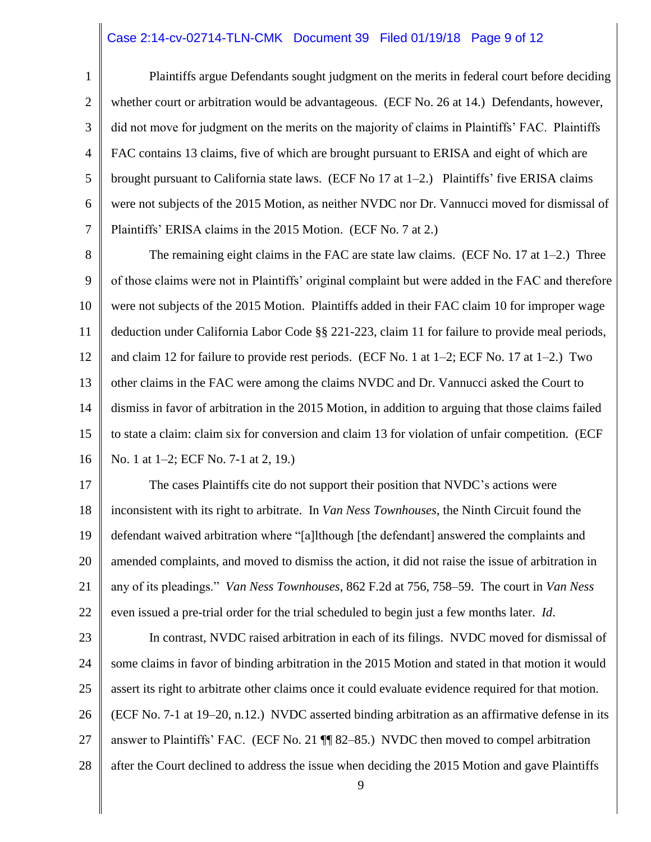#### Case 2:14-cv-02714-TLN-CMK Document 39 Filed 01/19/18 Page 9 of 12

1 2 3 4 5 6 7 Plaintiffs argue Defendants sought judgment on the merits in federal court before deciding whether court or arbitration would be advantageous. (ECF No. 26 at 14.) Defendants, however, did not move for judgment on the merits on the majority of claims in Plaintiffs' FAC. Plaintiffs FAC contains 13 claims, five of which are brought pursuant to ERISA and eight of which are brought pursuant to California state laws. (ECF No 17 at  $1-2$ .) Plaintiffs' five ERISA claims were not subjects of the 2015 Motion, as neither NVDC nor Dr. Vannucci moved for dismissal of Plaintiffs' ERISA claims in the 2015 Motion. (ECF No. 7 at 2.)

8 9 10 11 12 13 14 15 16 The remaining eight claims in the FAC are state law claims. (ECF No. 17 at  $1-2$ .) Three of those claims were not in Plaintiffs' original complaint but were added in the FAC and therefore were not subjects of the 2015 Motion. Plaintiffs added in their FAC claim 10 for improper wage deduction under California Labor Code §§ 221-223, claim 11 for failure to provide meal periods, and claim 12 for failure to provide rest periods. (ECF No. 1 at 1–2; ECF No. 17 at 1–2.) Two other claims in the FAC were among the claims NVDC and Dr. Vannucci asked the Court to dismiss in favor of arbitration in the 2015 Motion, in addition to arguing that those claims failed to state a claim: claim six for conversion and claim 13 for violation of unfair competition. (ECF No. 1 at 1–2; ECF No. 7-1 at 2, 19.)

17 18 19 20 21 22 The cases Plaintiffs cite do not support their position that NVDC's actions were inconsistent with its right to arbitrate. In *Van Ness Townhouses*, the Ninth Circuit found the defendant waived arbitration where "[a]lthough [the defendant] answered the complaints and amended complaints, and moved to dismiss the action, it did not raise the issue of arbitration in any of its pleadings." *Van Ness Townhouses*, 862 F.2d at 756, 758–59. The court in *Van Ness* even issued a pre-trial order for the trial scheduled to begin just a few months later. *Id*.

23 24 25 26 27 28 In contrast, NVDC raised arbitration in each of its filings. NVDC moved for dismissal of some claims in favor of binding arbitration in the 2015 Motion and stated in that motion it would assert its right to arbitrate other claims once it could evaluate evidence required for that motion. (ECF No. 7-1 at 19–20, n.12.) NVDC asserted binding arbitration as an affirmative defense in its answer to Plaintiffs' FAC. (ECF No. 21 ¶¶ 82–85.) NVDC then moved to compel arbitration after the Court declined to address the issue when deciding the 2015 Motion and gave Plaintiffs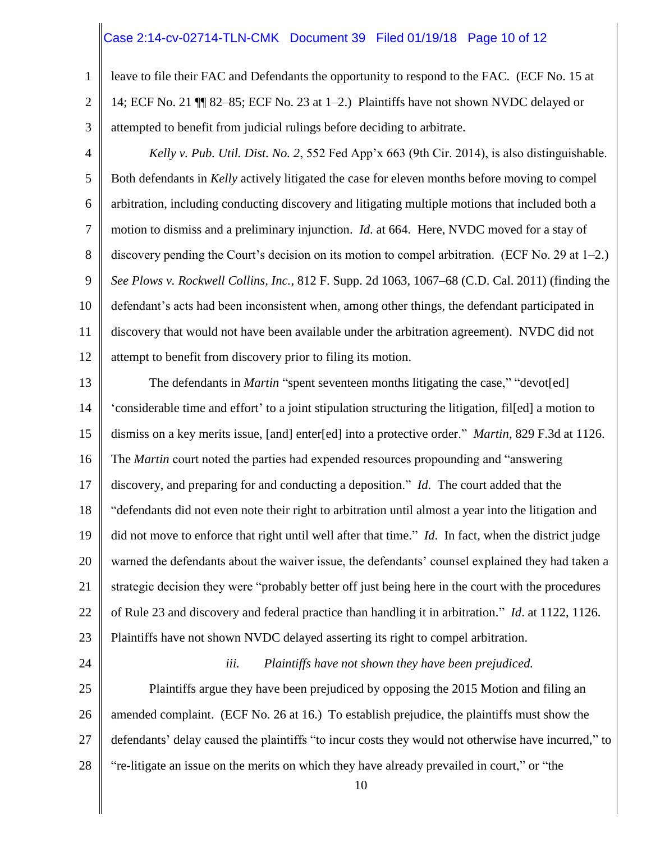#### Case 2:14-cv-02714-TLN-CMK Document 39 Filed 01/19/18 Page 10 of 12

- 1 2 3 leave to file their FAC and Defendants the opportunity to respond to the FAC. (ECF No. 15 at 14; ECF No. 21 ¶¶ 82–85; ECF No. 23 at 1–2.) Plaintiffs have not shown NVDC delayed or attempted to benefit from judicial rulings before deciding to arbitrate.
- 4 5 6 7 8 9 10 11 12 *Kelly v. Pub. Util. Dist. No. 2*, 552 Fed App'x 663 (9th Cir. 2014), is also distinguishable. Both defendants in *Kelly* actively litigated the case for eleven months before moving to compel arbitration, including conducting discovery and litigating multiple motions that included both a motion to dismiss and a preliminary injunction. *Id*. at 664. Here, NVDC moved for a stay of discovery pending the Court's decision on its motion to compel arbitration. (ECF No. 29 at 1–2.) *See Plows v. Rockwell Collins, Inc.*, 812 F. Supp. 2d 1063, 1067–68 (C.D. Cal. 2011) (finding the defendant's acts had been inconsistent when, among other things, the defendant participated in discovery that would not have been available under the arbitration agreement). NVDC did not attempt to benefit from discovery prior to filing its motion.
- 13 14 15 16 17 18 19 20 21 22 23 The defendants in *Martin* "spent seventeen months litigating the case," "devot[ed] 'considerable time and effort' to a joint stipulation structuring the litigation, fil[ed] a motion to dismiss on a key merits issue, [and] enter[ed] into a protective order." *Martin*, 829 F.3d at 1126. The *Martin* court noted the parties had expended resources propounding and "answering discovery, and preparing for and conducting a deposition." *Id*. The court added that the "defendants did not even note their right to arbitration until almost a year into the litigation and did not move to enforce that right until well after that time." *Id*. In fact, when the district judge warned the defendants about the waiver issue, the defendants' counsel explained they had taken a strategic decision they were "probably better off just being here in the court with the procedures of Rule 23 and discovery and federal practice than handling it in arbitration." *Id*. at 1122, 1126. Plaintiffs have not shown NVDC delayed asserting its right to compel arbitration.
- 24

#### *iii. Plaintiffs have not shown they have been prejudiced.*

25 26 27 28 Plaintiffs argue they have been prejudiced by opposing the 2015 Motion and filing an amended complaint. (ECF No. 26 at 16.) To establish prejudice, the plaintiffs must show the defendants' delay caused the plaintiffs "to incur costs they would not otherwise have incurred," to "re-litigate an issue on the merits on which they have already prevailed in court," or "the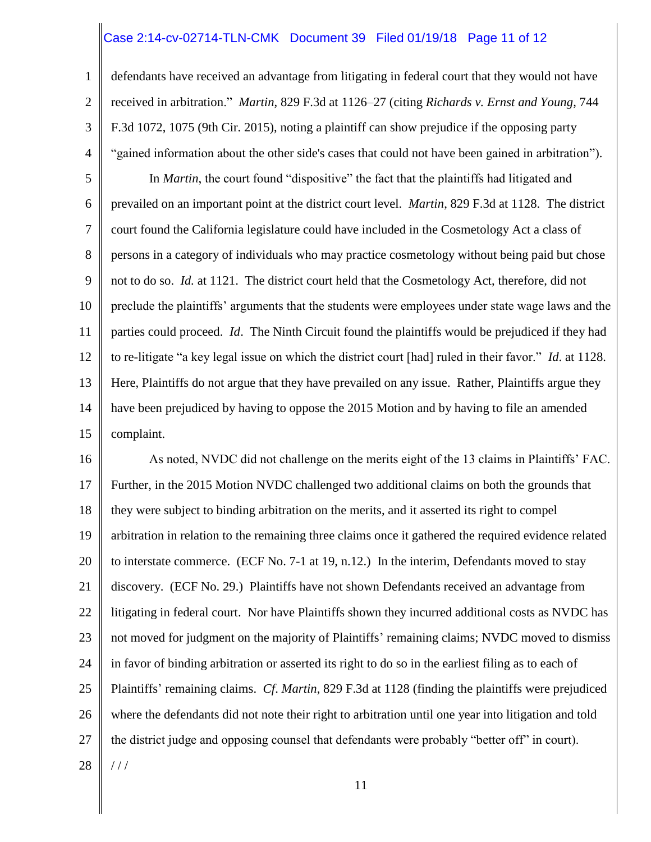#### Case 2:14-cv-02714-TLN-CMK Document 39 Filed 01/19/18 Page 11 of 12

1

2

3

4

defendants have received an advantage from litigating in federal court that they would not have received in arbitration." *Martin*, 829 F.3d at 1126–27 (citing *Richards v. Ernst and Young*, 744 F.3d 1072, 1075 (9th Cir. 2015), noting a plaintiff can show prejudice if the opposing party "gained information about the other side's cases that could not have been gained in arbitration").

5 6 7 8 9 10 11 12 13 14 15 In *Martin*, the court found "dispositive" the fact that the plaintiffs had litigated and prevailed on an important point at the district court level. *Martin*, 829 F.3d at 1128. The district court found the California legislature could have included in the Cosmetology Act a class of persons in a category of individuals who may practice cosmetology without being paid but chose not to do so. *Id.* at 1121. The district court held that the Cosmetology Act, therefore, did not preclude the plaintiffs' arguments that the students were employees under state wage laws and the parties could proceed. *Id*. The Ninth Circuit found the plaintiffs would be prejudiced if they had to re-litigate "a key legal issue on which the district court [had] ruled in their favor." *Id*. at 1128. Here, Plaintiffs do not argue that they have prevailed on any issue. Rather, Plaintiffs argue they have been prejudiced by having to oppose the 2015 Motion and by having to file an amended complaint.

16 17 18 19 20 21 22 23 24 25 26 27 28 As noted, NVDC did not challenge on the merits eight of the 13 claims in Plaintiffs' FAC. Further, in the 2015 Motion NVDC challenged two additional claims on both the grounds that they were subject to binding arbitration on the merits, and it asserted its right to compel arbitration in relation to the remaining three claims once it gathered the required evidence related to interstate commerce. (ECF No. 7-1 at 19, n.12.) In the interim, Defendants moved to stay discovery. (ECF No. 29.) Plaintiffs have not shown Defendants received an advantage from litigating in federal court. Nor have Plaintiffs shown they incurred additional costs as NVDC has not moved for judgment on the majority of Plaintiffs' remaining claims; NVDC moved to dismiss in favor of binding arbitration or asserted its right to do so in the earliest filing as to each of Plaintiffs' remaining claims. *Cf*. *Martin*, 829 F.3d at 1128 (finding the plaintiffs were prejudiced where the defendants did not note their right to arbitration until one year into litigation and told the district judge and opposing counsel that defendants were probably "better off" in court). / / /